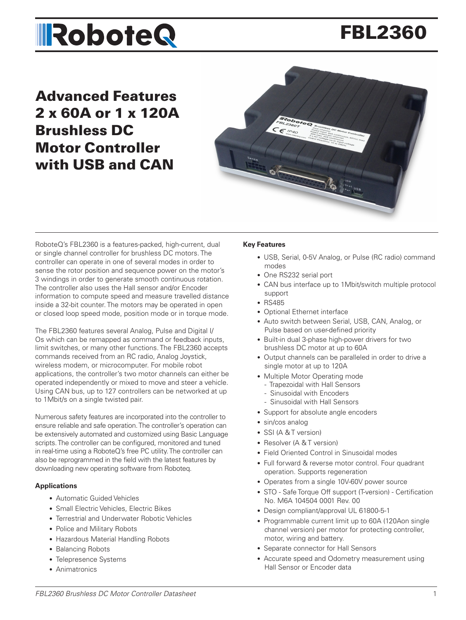# FBL2360

Advanced Features 2 x 60A or 1 x 120A Brushless DC Motor Controller with USB and CAN



RoboteQ's FBL2360 is a features-packed, high-current, dual or single channel controller for brushless DC motors. The controller can operate in one of several modes in order to sense the rotor position and sequence power on the motor's 3 windings in order to generate smooth continuous rotation. The controller also uses the Hall sensor and/or Encoder information to compute speed and measure travelled distance inside a 32-bit counter. The motors may be operated in open or closed loop speed mode, position mode or in torque mode.

The FBL2360 features several Analog, Pulse and Digital I/ Os which can be remapped as command or feedback inputs, limit switches, or many other functions. The FBL2360 accepts commands received from an RC radio, Analog Joystick, wireless modem, or microcomputer. For mobile robot applications, the controller's two motor channels can either be operated independently or mixed to move and steer a vehicle. Using CAN bus, up to 127 controllers can be networked at up to 1Mbit/s on a single twisted pair.

Numerous safety features are incorporated into the controller to ensure reliable and safe operation. The controller's operation can be extensively automated and customized using Basic Language scripts. The controller can be configured, monitored and tuned in real-time using a RoboteQ's free PC utility. The controller can also be reprogrammed in the field with the latest features by downloading new operating software from Roboteq.

#### **Applications**

- Automatic Guided Vehicles
- Small Electric Vehicles, Electric Bikes
- Terrestrial and Underwater Robotic Vehicles
- Police and Military Robots
- Hazardous Material Handling Robots
- Balancing Robots
- Telepresence Systems
- Animatronics

#### **Key Features**

- USB, Serial, 0-5V Analog, or Pulse (RC radio) command modes
- One RS232 serial port
- CAN bus interface up to 1Mbit/switch multiple protocol support
- RS485
- Optional Ethernet interface
- Auto switch between Serial, USB, CAN, Analog, or Pulse based on user-defined priority
- Built-in dual 3-phase high-power drivers for two brushless DC motor at up to 60A
- Output channels can be paralleled in order to drive a single motor at up to 120A
- Multiple Motor Operating mode
	- Trapezoidal with Hall Sensors
	- Sinusoidal with Encoders
	- Sinusoidal with Hall Sensors
- Support for absolute angle encoders
- sin/cos analog
- SSI (A & T version)
- Resolver (A & T version)
- Field Oriented Control in Sinusoidal modes
- Full forward & reverse motor control. Four quadrant operation. Supports regeneration
- Operates from a single 10V-60V power source
- STO Safe Torque Off support (T-version) Certification No. M6A 104504 0001 Rev. 00
- Design compliant/approval UL 61800-5-1
- Programmable current limit up to 60A (120Aon single channel version) per motor for protecting controller, motor, wiring and battery.
- Separate connector for Hall Sensors
- Accurate speed and Odometry measurement using Hall Sensor or Encoder data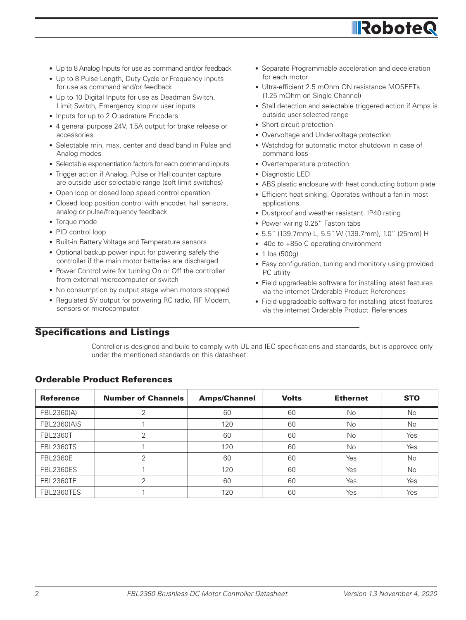

**IRobote** 

• Watchdog for automatic motor shutdown in case of command loss

• Separate Programmable acceleration and deceleration

• Stall detection and selectable triggered action if Amps is

• Ultra-efficient 2.5 mOhm ON resistance MOSFETs

• Overtemperature protection

(1.25 mOhm on Single Channel)

outside user-selected range • Short circuit protection

• Diagnostic LED

for each motor

- ABS plastic enclosure with heat conducting bottom plate
- Efficient heat sinking. Operates without a fan in most applications.
- Dustproof and weather resistant. IP40 rating
- Power wiring 0.25" Faston tabs
- 5.5" (139.7mm) L, 5.5" W (139.7mm), 1.0" (25mm) H
- -40o to +85o C operating environment
- 1 lbs (500g)
- Easy configuration, tuning and monitory using provided PC utility
- Field upgradeable software for installing latest features via the internet Orderable Product References
- Field upgradeable software for installing latest features via the internet Orderable Product References
- Up to 8 Analog Inputs for use as command and/or feedback
- Up to 8 Pulse Length, Duty Cycle or Frequency Inputs for use as command and/or feedback
- Up to 10 Digital Inputs for use as Deadman Switch. Limit Switch, Emergency stop or user inputs
- Inputs for up to 2 Quadrature Encoders
- 4 general purpose 24V, 1.5A output for brake release or accessories
- Selectable min, max, center and dead band in Pulse and Analog modes
- Selectable exponentiation factors for each command inputs
- Trigger action if Analog, Pulse or Hall counter capture are outside user selectable range (soft limit switches)
- Open loop or closed loop speed control operation
- Closed loop position control with encoder, hall sensors, analog or pulse/frequency feedback
- Torque mode
- PID control loop
- Built-in Battery Voltage and Temperature sensors
- Optional backup power input for powering safely the controller if the main motor batteries are discharged
- Power Control wire for turning On or Off the controller from external microcomputer or switch
- No consumption by output stage when motors stopped
- Regulated 5V output for powering RC radio, RF Modem, sensors or microcomputer

### Specifications and Listings

Controller is designed and build to comply with UL and IEC specifications and standards, but is approved only under the mentioned standards on this datasheet.

| <b>Reference</b> | <b>Number of Channels</b> | <b>Amps/Channel</b> | <b>Volts</b> | <b>Ethernet</b> | <b>STO</b> |
|------------------|---------------------------|---------------------|--------------|-----------------|------------|
| FBL2360(A)       |                           | 60                  | 60           | <b>No</b>       | No.        |
| FBL2360(A)S      |                           | 120                 | 60           | <b>No</b>       | No         |
| <b>FBL2360T</b>  | 2                         | 60                  | 60           | <b>No</b>       | Yes        |
| <b>FBL2360TS</b> |                           | 120                 | 60           | <b>No</b>       | Yes        |
| <b>FBL2360E</b>  |                           | 60                  | 60           | Yes             | No         |
| <b>FBL2360ES</b> |                           | 120                 | 60           | Yes             | No         |
| <b>FBL2360TE</b> | っ                         | 60                  | 60           | Yes             | Yes        |
| FBL2360TES       |                           | 120                 | 60           | Yes             | Yes        |

### Orderable Product References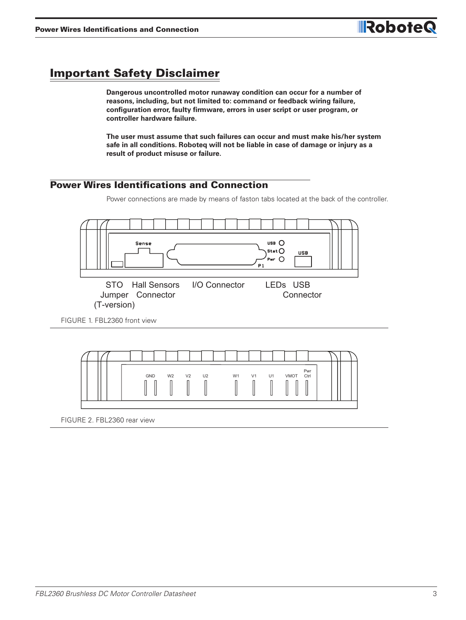# Important Safety Disclaimer

**Dangerous uncontrolled motor runaway condition can occur for a number of reasons, including, but not limited to: command or feedback wiring failure, configuration error, faulty firmware, errors in user script or user program, or controller hardware failure.**

**The user must assume that such failures can occur and must make his/her system safe in all conditions. Roboteq will not be liable in case of damage or injury as a result of product misuse or failure.**

#### Power Wires Identifications and Connection

Power connections are made by means of faston tabs located at the back of the controller.





FIGURE 2. FBL2360 rear view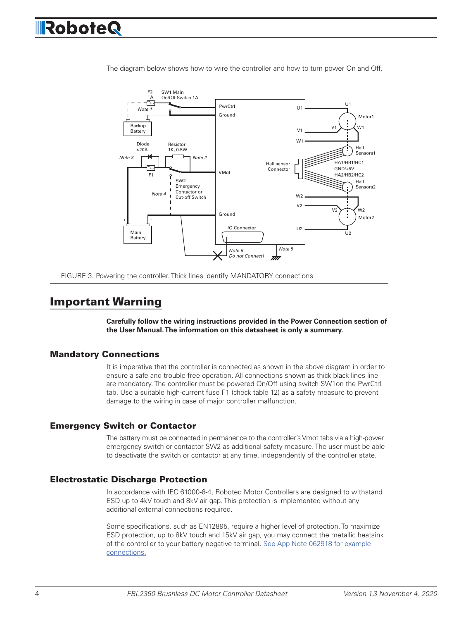

The diagram below shows how to wire the controller and how to turn power On and Off.

VMot Ground Ground

Power Control



# Important Warning

**Carefully follow the wiring instructions provided in the Power Connection section of the User Manual. The information on this datasheet is only a summary.**

#### Mandatory Connections

It is imperative that the controller is connected as shown in the above diagram in order to ensure a safe and trouble-free operation. All connections shown as thick black lines line are mandatory. The controller must be powered On/Off using switch SW1on the PwrCtrl tab. Use a suitable high-current fuse F1 (check table 12) as a safety measure to prevent damage to the wiring in case of major controller malfunction.

#### Emergency Switch or Contactor

The battery must be connected in permanence to the controller's Vmot tabs via a high-power emergency switch or contactor SW2 as additional safety measure. The user must be able to deactivate the switch or contactor at any time, independently of the controller state.

#### Electrostatic Discharge Protection

In accordance with IEC 61000-6-4, Roboteq Motor Controllers are designed to withstand ESD up to 4kV touch and 8kV air gap. This protection is implemented without any additional external connections required.

Some specifications, such as EN12895, require a higher level of protection. To maximize ESD protection, up to 8kV touch and 15kV air gap, you may connect the metallic heatsink of the controller to your battery negative terminal. See App Note 062918 for example connections.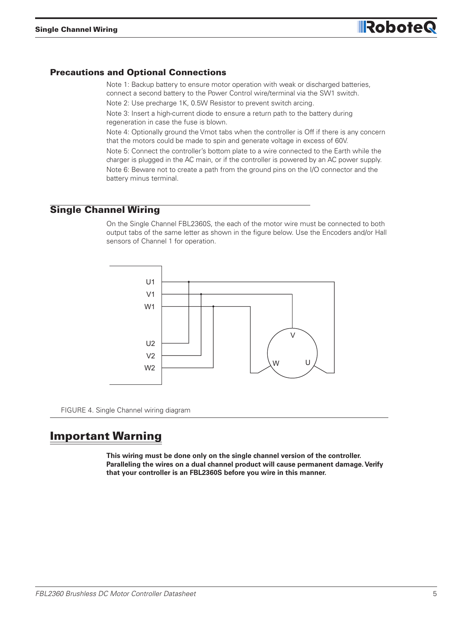

#### Precautions and Optional Connections

Note 1: Backup battery to ensure motor operation with weak or discharged batteries, connect a second battery to the Power Control wire/terminal via the SW1 switch.

Note 2: Use precharge 1K, 0.5W Resistor to prevent switch arcing.

Note 3: Insert a high-current diode to ensure a return path to the battery during regeneration in case the fuse is blown.

Note 4: Optionally ground the Vmot tabs when the controller is Off if there is any concern that the motors could be made to spin and generate voltage in excess of 60V.

Note 5: Connect the controller's bottom plate to a wire connected to the Earth while the charger is plugged in the AC main, or if the controller is powered by an AC power supply. Note 6: Beware not to create a path from the ground pins on the I/O connector and the battery minus terminal.

#### Single Channel Wiring

On the Single Channel FBL2360S, the each of the motor wire must be connected to both output tabs of the same letter as shown in the figure below. Use the Encoders and/or Hall sensors of Channel 1 for operation.



FIGURE 4. Single Channel wiring diagram

# Important Warning

**This wiring must be done only on the single channel version of the controller. Paralleling the wires on a dual channel product will cause permanent damage. Verify that your controller is an FBL2360S before you wire in this manner.**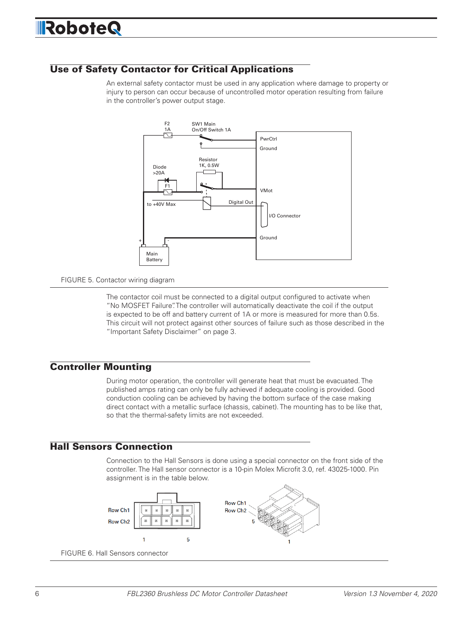### Use of Safety Contactor for Critical Applications

An external safety contactor must be used in any application where damage to property or injury to person can occur because of uncontrolled motor operation resulting from failure in the controller's power output stage.



#### FIGURE 5. Contactor wiring diagram

The contactor coil must be connected to a digital output configured to activate when "No MOSFET Failure". The controller will automatically deactivate the coil if the output is expected to be off and battery current of 1A or more is measured for more than 0.5s. This circuit will not protect against other sources of failure such as those described in the "Important Safety Disclaimer" on page 3.

#### Controller Mounting

During motor operation, the controller will generate heat that must be evacuated. The published amps rating can only be fully achieved if adequate cooling is provided. Good conduction cooling can be achieved by having the bottom surface of the case making direct contact with a metallic surface (chassis, cabinet). The mounting has to be like that, so that the thermal-safety limits are not exceeded.

#### Hall Sensors Connection

Connection to the Hall Sensors is done using a special connector on the front side of the controller. The Hall sensor connector is a 10-pin Molex Microfit 3.0, ref. 43025-1000. Pin assignment is in the table below.

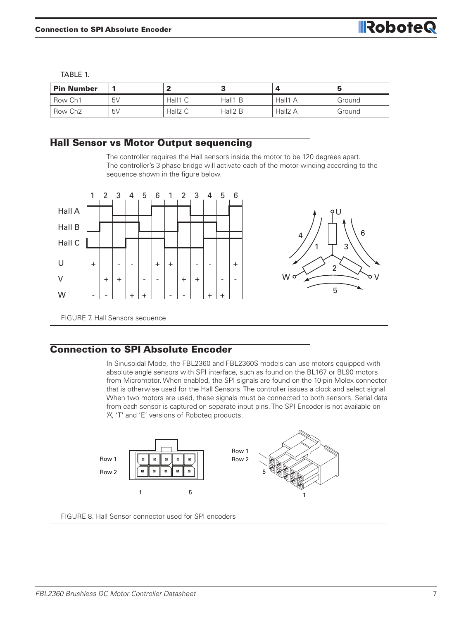TABLE 1.

| <b>Pin Number</b>   |                | -7                  | -<br>٠a             | Δ       | э      |
|---------------------|----------------|---------------------|---------------------|---------|--------|
| Row Ch1             | 5 <sub>V</sub> | Hall1 C             | Hall1 B             | Hall1 A | Ground |
| Row Ch <sub>2</sub> | 5 <sub>V</sub> | Hall <sub>2</sub> C | Hall <sub>2</sub> B | Hall2 A | Ground |

#### Hall Sensor vs Motor Output sequencing

The controller requires the Hall sensors inside the motor to be 120 degrees apart. The controller's 3-phase bridge will activate each of the motor winding according to the sequence shown in the figure below.



#### Connection to SPI Absolute Encoder

In Sinusoidal Mode, the FBL2360 and FBL2360S models can use motors equipped with absolute angle sensors with SPI interface, such as found on the BL167 or BL90 motors from Micromotor. When enabled, the SPI signals are found on the 10-pin Molex connector that is otherwise used for the Hall Sensors. The controller issues a clock and select signal. When two motors are used, these signals must be connected to both sensors. Serial data from each sensor is captured on separate input pins. The SPI Encoder is not available on 'A', 'T' and 'E' versions of Roboteq products.



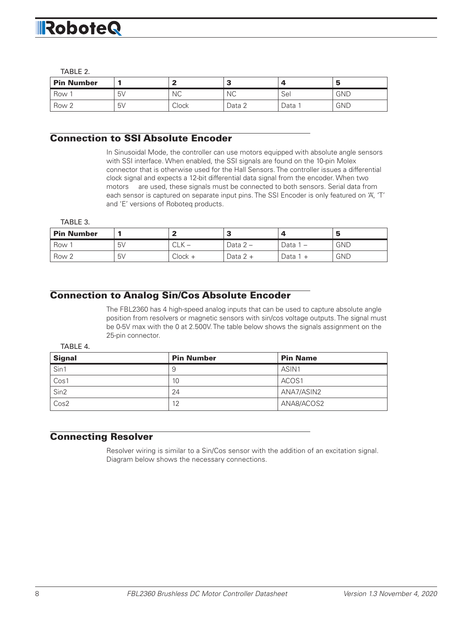#### TABLE 2.

| <b>Pin Number</b> |    |           | - 1       |      | э          |
|-------------------|----|-----------|-----------|------|------------|
| Row               | 5V | <b>NC</b> | <b>NC</b> | Sei  | <b>GND</b> |
| Row 2             | 5V | Clock     | Data 2    | Data | <b>GND</b> |

#### Connection to SSI Absolute Encoder

In Sinusoidal Mode, the controller can use motors equipped with absolute angle sensors with SSI interface. When enabled, the SSI signals are found on the 10-pin Molex connector that is otherwise used for the Hall Sensors. The controller issues a differential clock signal and expects a 12-bit differential data signal from the encoder. When two motors are used, these signals must be connected to both sensors. Serial data from each sensor is captured on separate input pins. The SSI Encoder is only featured on 'A', 'T' and 'E' versions of Roboteq products.

TABLE 3.

| <b>Pin Number</b> |                |                      |           |        | э          |
|-------------------|----------------|----------------------|-----------|--------|------------|
| Row               | 5 <sub>V</sub> | $\cap$ $\vee$<br>ULN | Data $2-$ | Data 1 | <b>GND</b> |
| Row 2             | 5 <sub>V</sub> | Clock +              | Data 2 +  | Data i | <b>GND</b> |

#### Connection to Analog Sin/Cos Absolute Encoder

The FBL2360 has 4 high-speed analog inputs that can be used to capture absolute angle position from resolvers or magnetic sensors with sin/cos voltage outputs. The signal must be 0-5V max with the 0 at 2.500V. The table below shows the signals assignment on the 25-pin connector.

#### TABLE 4.

| <b>Signal</b>    | <b>Pin Number</b> | <b>Pin Name</b> |
|------------------|-------------------|-----------------|
| Sin1             | 9                 | ASIN1           |
| Cos1             | 10                | ACOS1           |
| Sin <sub>2</sub> | 24                | ANA7/ASIN2      |
| Cos2             | 12                | ANA8/ACOS2      |

#### Connecting Resolver

Resolver wiring is similar to a Sin/Cos sensor with the addition of an excitation signal. Diagram below shows the necessary connections.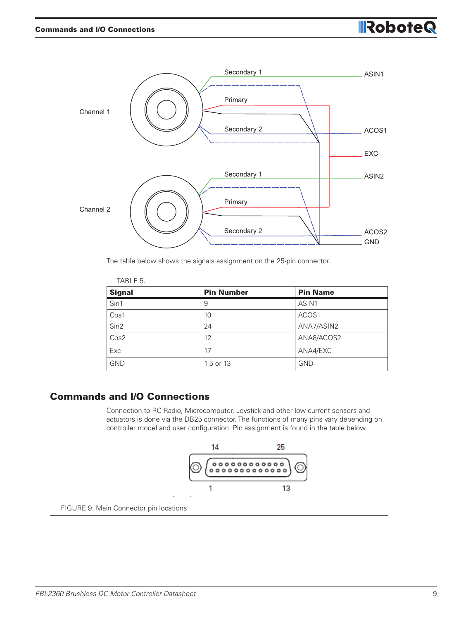

The table below shows the signals assignment on the 25-pin connector.

| TABLE 5.         |                   |                 |
|------------------|-------------------|-----------------|
| <b>Signal</b>    | <b>Pin Number</b> | <b>Pin Name</b> |
| Sin1             | 9                 | ASIN1           |
| Cos1             | 10                | ACOS1           |
| Sin2             | 24                | ANA7/ASIN2      |
| Cos <sub>2</sub> | 12                | ANA8/ACOS2      |
| Exc              | 17                | ANA4/EXC        |
| <b>GND</b>       | 1-5 or 13         | <b>GND</b>      |

### Commands and I/O Connections

Connection to RC Radio, Microcomputer, Joystick and other low current sensors and actuators is done via the DB25 connector. The functions of many pins vary depending on controller model and user configuration. Pin assignment is found in the table below.



FIGURE 9. Main Connector pin locations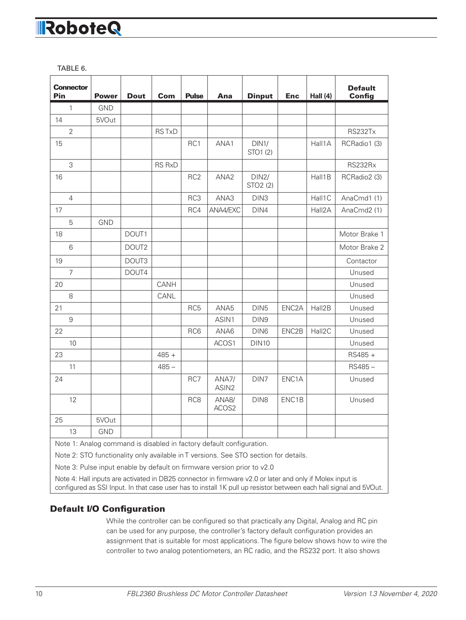TABLE 6.

| <b>Connector</b><br>Pin                                              | <b>Power</b> | <b>Dout</b> | Com           | <b>Pulse</b>    | Ana                        | <b>Dinput</b>                 | <b>Enc</b>         | Hall $(4)$ | <b>Default</b><br><b>Config</b> |
|----------------------------------------------------------------------|--------------|-------------|---------------|-----------------|----------------------------|-------------------------------|--------------------|------------|---------------------------------|
| $\mathbf{1}$                                                         | <b>GND</b>   |             |               |                 |                            |                               |                    |            |                                 |
| 14                                                                   | 5VOut        |             |               |                 |                            |                               |                    |            |                                 |
| $\overline{2}$                                                       |              |             | <b>RSTxD</b>  |                 |                            |                               |                    |            | <b>RS232Tx</b>                  |
| 15                                                                   |              |             |               | RC1             | ANA1                       | DIN1/<br>STO1 (2)             |                    | Hall1A     | RCRadio1 (3)                    |
| 3                                                                    |              |             | <b>RS RxD</b> |                 |                            |                               |                    |            | RS232Rx                         |
| 16                                                                   |              |             |               | RC <sub>2</sub> | ANA <sub>2</sub>           | DIN2/<br>STO <sub>2</sub> (2) |                    | Hall1B     | RCRadio2 (3)                    |
| $\overline{4}$                                                       |              |             |               | RC3             | ANA3                       | DIN <sub>3</sub>              |                    | Hall1C     | AnaCmd1 (1)                     |
| 17                                                                   |              |             |               | RC4             | ANA4/EXC                   | DIN4                          |                    | Hall2A     | AnaCmd2 (1)                     |
| 5                                                                    | <b>GND</b>   |             |               |                 |                            |                               |                    |            |                                 |
| 18                                                                   |              | DOUT1       |               |                 |                            |                               |                    |            | Motor Brake 1                   |
| 6                                                                    |              | DOUT2       |               |                 |                            |                               |                    |            | Motor Brake 2                   |
| 19                                                                   |              | DOUT3       |               |                 |                            |                               |                    |            | Contactor                       |
| $\overline{7}$                                                       |              | DOUT4       |               |                 |                            |                               |                    |            | Unused                          |
| 20                                                                   |              |             | CANH          |                 |                            |                               |                    |            | Unused                          |
| 8                                                                    |              |             | CANL          |                 |                            |                               |                    |            | Unused                          |
| 21                                                                   |              |             |               | RC <sub>5</sub> | ANA5                       | DIN <sub>5</sub>              | ENC <sub>2</sub> A | Hall2B     | Unused                          |
| 9                                                                    |              |             |               |                 | ASIN1                      | DIN9                          |                    |            | Unused                          |
| 22                                                                   |              |             |               | RC6             | ANA6                       | DIN <sub>6</sub>              | ENC2B              | Hall2C     | Unused                          |
| 10                                                                   |              |             |               |                 | ACOS1                      | <b>DIN10</b>                  |                    |            | Unused                          |
| 23                                                                   |              |             | $485 +$       |                 |                            |                               |                    |            | RS485 +                         |
| 11                                                                   |              |             | $485 -$       |                 |                            |                               |                    |            | RS485-                          |
| 24                                                                   |              |             |               | RC7             | ANA7/<br>ASIN <sub>2</sub> | DIN7                          | ENC1A              |            | Unused                          |
| 12                                                                   |              |             |               | RC <sub>8</sub> | ANA8/<br>ACOS2             | DIN8                          | ENC1B              |            | Unused                          |
| 25                                                                   | 5VOut        |             |               |                 |                            |                               |                    |            |                                 |
| 13                                                                   | <b>GND</b>   |             |               |                 |                            |                               |                    |            |                                 |
| Note 1: Analog command is disabled in factory default configuration. |              |             |               |                 |                            |                               |                    |            |                                 |

Note 2: STO functionality only available in T versions. See STO section for details.

Note 3: Pulse input enable by default on firmware version prior to v2.0

Note 4: Hall inputs are activated in DB25 connector in firmware v2.0 or later and only if Molex input is configured as SSI Input. In that case user has to install 1K pull up resistor between each hall signal and 5VOut.

#### Default I/O Configuration

While the controller can be configured so that practically any Digital, Analog and RC pin can be used for any purpose, the controller's factory default configuration provides an assignment that is suitable for most applications. The figure below shows how to wire the controller to two analog potentiometers, an RC radio, and the RS232 port. It also shows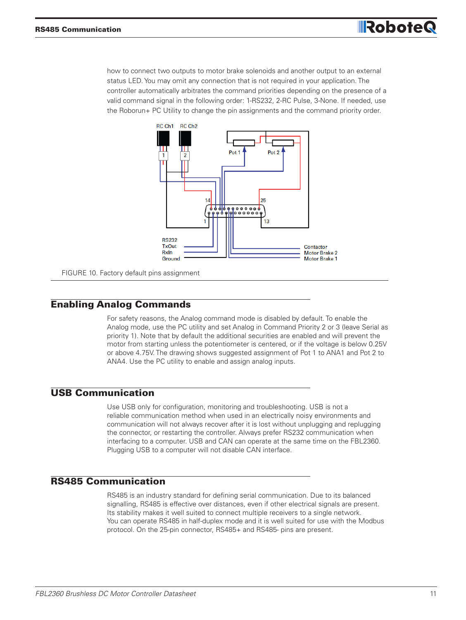how to connect two outputs to motor brake solenoids and another output to an external status LED. You may omit any connection that is not required in your application. The controller automatically arbitrates the command priorities depending on the presence of a valid command signal in the following order: 1-RS232, 2-RC Pulse, 3-None. If needed, use the Roborun+ PC Utility to change the pin assignments and the command priority order.



FIGURE 10. Factory default pins assignment

#### Enabling Analog Commands

For safety reasons, the Analog command mode is disabled by default. To enable the Analog mode, use the PC utility and set Analog in Command Priority 2 or 3 (leave Serial as priority 1). Note that by default the additional securities are enabled and will prevent the motor from starting unless the potentiometer is centered, or if the voltage is below 0.25V or above 4.75V. The drawing shows suggested assignment of Pot 1 to ANA1 and Pot 2 to ANA4. Use the PC utility to enable and assign analog inputs.

#### USB Communication

Use USB only for configuration, monitoring and troubleshooting. USB is not a reliable communication method when used in an electrically noisy environments and communication will not always recover after it is lost without unplugging and replugging the connector, or restarting the controller. Always prefer RS232 communication when interfacing to a computer. USB and CAN can operate at the same time on the FBL2360. Plugging USB to a computer will not disable CAN interface.

#### RS485 Communication

RS485 is an industry standard for defining serial communication. Due to its balanced signalling, RS485 is effective over distances, even if other electrical signals are present. Its stability makes it well suited to connect multiple receivers to a single network. You can operate RS485 in half-duplex mode and it is well suited for use with the Modbus protocol. On the 25-pin connector, RS485+ and RS485- pins are present.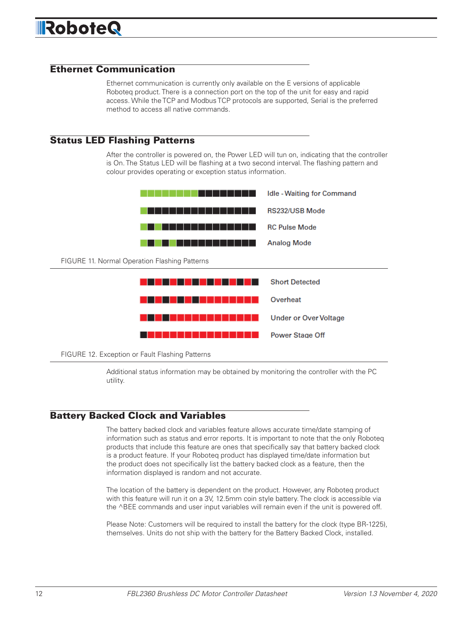#### Ethernet Communication

Ethernet communication is currently only available on the E versions of applicable Roboteq product. There is a connection port on the top of the unit for easy and rapid access. While the TCP and Modbus TCP protocols are supported, Serial is the preferred method to access all native commands.

#### Status LED Flashing Patterns

After the controller is powered on, the Power LED will tun on, indicating that the controller is On. The Status LED will be flashing at a two second interval. The flashing pattern and colour provides operating or exception status information.



FIGURE 12. Exception or Fault Flashing Patterns

Additional status information may be obtained by monitoring the controller with the PC utility.

#### Battery Backed Clock and Variables

The battery backed clock and variables feature allows accurate time/date stamping of information such as status and error reports. It is important to note that the only Roboteq products that include this feature are ones that specifically say that battery backed clock is a product feature. If your Roboteq product has displayed time/date information but the product does not specifically list the battery backed clock as a feature, then the information displayed is random and not accurate.

The location of the battery is dependent on the product. However, any Roboteq product with this feature will run it on a 3V, 12.5mm coin style battery. The clock is accessible via the ^BEE commands and user input variables will remain even if the unit is powered off.

Please Note: Customers will be required to install the battery for the clock (type BR-1225), themselves. Units do not ship with the battery for the Battery Backed Clock, installed.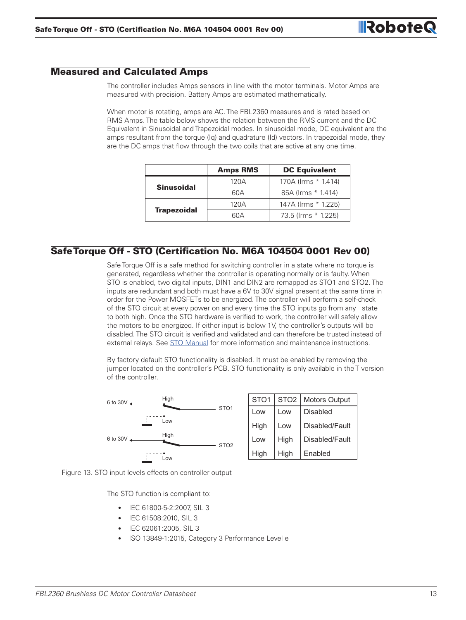#### Measured and Calculated Amps

The controller includes Amps sensors in line with the motor terminals. Motor Amps are measured with precision. Battery Amps are estimated mathematically.

When motor is rotating, amps are AC. The FBL2360 measures and is rated based on RMS Amps. The table below shows the relation between the RMS current and the DC Equivalent in Sinusoidal and Trapezoidal modes. In sinusoidal mode, DC equivalent are the amps resultant from the torque (Iq) and quadrature (Id) vectors. In trapezoidal mode, they are the DC amps that flow through the two coils that are active at any one time.

|                    | <b>Amps RMS</b> | <b>DC Equivalent</b> |  |  |
|--------------------|-----------------|----------------------|--|--|
| <b>Sinusoidal</b>  | 120A            | 170A (Irms * 1.414)  |  |  |
|                    | 60A             | 85A (Irms * 1.414)   |  |  |
| <b>Trapezoidal</b> | 120A            | 147A (Irms * 1.225)  |  |  |
|                    | 60A             | 73.5 (Irms * 1.225)  |  |  |

#### Safe Torque Off - STO (Certification No. M6A 104504 0001 Rev 00)

Safe Torque Off is a safe method for switching controller in a state where no torque is generated, regardless whether the controller is operating normally or is faulty. When STO is enabled, two digital inputs, DIN1 and DIN2 are remapped as STO1 and STO2. The inputs are redundant and both must have a 6V to 30V signal present at the same time in order for the Power MOSFETs to be energized. The controller will perform a self-check of the STO circuit at every power on and every time the STO inputs go from any state to both high. Once the STO hardware is verified to work, the controller will safely allow the motors to be energized. If either input is below 1V, the controller's outputs will be disabled. The STO circuit is verified and validated and can therefore be trusted instead of external relays. See STO Manual for more information and maintenance instructions.

By factory default STO functionality is disabled. It must be enabled by removing the jumper located on the controller's PCB. STO functionality is only available in the T version of the controller.



| STO <sub>1</sub> | STO <sub>2</sub> | <b>Motors Output</b> |
|------------------|------------------|----------------------|
| Low              | Low              | Disabled             |
| High             | Low              | Disabled/Fault       |
| Low              | High             | Disabled/Fault       |
| High             | High             | Enabled              |

Figure 13. STO input levels effects on controller output

The STO function is compliant to:

- IEC 61800-5-2:2007, SIL 3
- IEC 61508:2010, SIL 3
- IEC 62061:2005, SIL 3
- ISO 13849-1:2015, Category 3 Performance Level e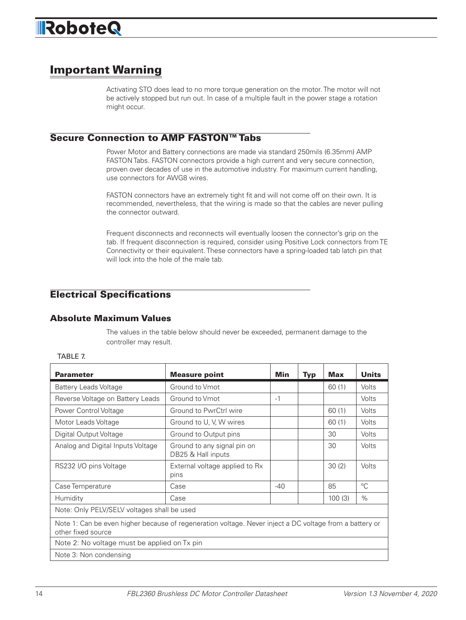# Important Warning

Activating STO does lead to no more torque generation on the motor. The motor will not be actively stopped but run out. In case of a multiple fault in the power stage a rotation might occur.

#### Secure Connection to AMP FASTON™ Tabs

Power Motor and Battery connections are made via standard 250mils (6.35mm) AMP FASTON Tabs. FASTON connectors provide a high current and very secure connection, proven over decades of use in the automotive industry. For maximum current handling, use connectors for AWG8 wires.

FASTON connectors have an extremely tight fit and will not come off on their own. It is recommended, nevertheless, that the wiring is made so that the cables are never pulling the connector outward.

Frequent disconnects and reconnects will eventually loosen the connector's grip on the tab. If frequent disconnection is required, consider using Positive Lock connectors from TE Connectivity or their equivalent. These connectors have a spring-loaded tab latch pin that will lock into the hole of the male tab.

### Electrical Specifications

#### Absolute Maximum Values

The values in the table below should never be exceeded, permanent damage to the controller may result.

| <b>Parameter</b>                                                                                                              | <b>Measure point</b>                              | Min   | <b>Typ</b> | Max    | <b>Units</b> |  |
|-------------------------------------------------------------------------------------------------------------------------------|---------------------------------------------------|-------|------------|--------|--------------|--|
| <b>Battery Leads Voltage</b>                                                                                                  | Ground to Vmot                                    |       |            | 60(1)  | Volts        |  |
| Reverse Voltage on Battery Leads                                                                                              | Ground to Vmot                                    | $-1$  |            |        | Volts        |  |
| Power Control Voltage                                                                                                         | Ground to PwrCtrl wire                            |       |            | 60(1)  | Volts        |  |
| Motor Leads Voltage                                                                                                           | Ground to U, V, W wires                           |       |            | 60(1)  | Volts        |  |
| Digital Output Voltage                                                                                                        | Ground to Output pins                             |       |            | 30     | Volts        |  |
| Analog and Digital Inputs Voltage                                                                                             | Ground to any signal pin on<br>DB25 & Hall inputs |       |            | 30     | Volts        |  |
| RS232 I/O pins Voltage                                                                                                        | External voltage applied to Rx<br>pins            |       |            | 30(2)  | Volts        |  |
| Case Temperature                                                                                                              | Case                                              | $-40$ |            | 85     | $^{\circ}C$  |  |
| Humidity                                                                                                                      | Case                                              |       |            | 100(3) | $\%$         |  |
| Note: Only PELV/SELV voltages shall be used                                                                                   |                                                   |       |            |        |              |  |
| Note 1: Can be even higher because of regeneration voltage. Never inject a DC voltage from a battery or<br>other fixed source |                                                   |       |            |        |              |  |
| Note 2: No voltage must be applied on Tx pin                                                                                  |                                                   |       |            |        |              |  |
| Note 3: Non condensing                                                                                                        |                                                   |       |            |        |              |  |

#### TABLE 7.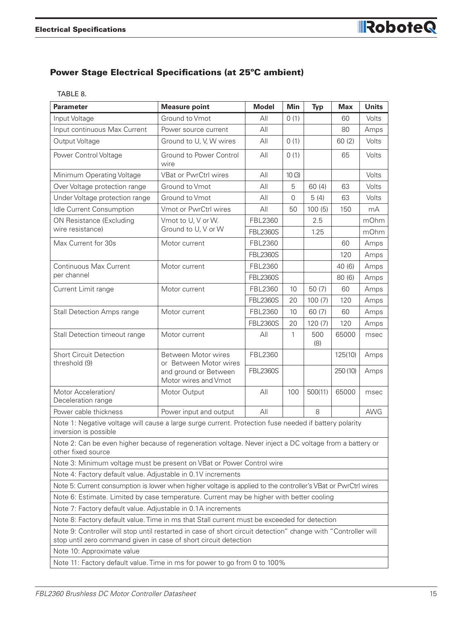### Power Stage Electrical Specifications (at 25ºC ambient)

|  | v<br>× |
|--|--------|
|--|--------|

| <b>Parameter</b>                                                                                                                                                                  | <b>Measure point</b>                          | <b>Model</b>    | <b>Min</b> | <b>Typ</b> | <b>Max</b> | <b>Units</b> |
|-----------------------------------------------------------------------------------------------------------------------------------------------------------------------------------|-----------------------------------------------|-----------------|------------|------------|------------|--------------|
| Input Voltage                                                                                                                                                                     | Ground to Vmot                                | All             | 0(1)       |            | 60         | Volts        |
| Input continuous Max Current                                                                                                                                                      | Power source current                          | All             |            |            | 80         | Amps         |
| Output Voltage                                                                                                                                                                    | Ground to U, V, W wires                       | All             | 0(1)       |            | 60(2)      | Volts        |
| Power Control Voltage                                                                                                                                                             | Ground to Power Control<br>wire               | All             | 0(1)       |            | 65         | Volts        |
| Minimum Operating Voltage                                                                                                                                                         | <b>VBat or PwrCtrl wires</b>                  | All             | 10(3)      |            |            | Volts        |
| Over Voltage protection range                                                                                                                                                     | Ground to Vmot                                | All             | 5          | 60(4)      | 63         | Volts        |
| Under Voltage protection range                                                                                                                                                    | Ground to Vmot                                | All             | 0          | 5(4)       | 63         | Volts        |
| Idle Current Consumption                                                                                                                                                          | Vmot or PwrCtrl wires                         | All             | 50         | 100(5)     | 150        | mA           |
| ON Resistance (Excluding                                                                                                                                                          | Vmot to U, V or W.                            | FBL2360         |            | 2.5        |            | mOhm         |
| wire resistance)                                                                                                                                                                  | Ground to U, V or W                           | <b>FBL2360S</b> |            | 1.25       |            | mOhm         |
| Max Current for 30s                                                                                                                                                               | Motor current                                 | FBL2360         |            |            | 60         | Amps         |
|                                                                                                                                                                                   |                                               | <b>FBL2360S</b> |            |            | 120        | Amps         |
| Continuous Max Current                                                                                                                                                            | Motor current                                 | FBL2360         |            |            | 40 (6)     | Amps         |
| per channel                                                                                                                                                                       |                                               | <b>FBL2360S</b> |            |            | 80(6)      | Amps         |
| Current Limit range                                                                                                                                                               | Motor current                                 | FBL2360         | 10         | 50 (7)     | 60         | Amps         |
|                                                                                                                                                                                   |                                               | <b>FBL2360S</b> | 20         | 100(7)     | 120        | Amps         |
| <b>Stall Detection Amps range</b>                                                                                                                                                 | Motor current                                 | FBL2360         | 10         | 60 (7)     | 60         | Amps         |
|                                                                                                                                                                                   |                                               | <b>FBL2360S</b> | 20         | 120(7)     | 120        | Amps         |
| Stall Detection timeout range                                                                                                                                                     | Motor current                                 | All             | 1          | 500<br>(8) | 65000      | msec         |
| <b>Short Circuit Detection</b><br>threshold (9)                                                                                                                                   | Between Motor wires<br>or Between Motor wires | FBL2360         |            |            | 125(10)    | Amps         |
|                                                                                                                                                                                   | and ground or Between<br>Motor wires and Vmot | <b>FBL2360S</b> |            |            | 250 (10)   | Amps         |
| Motor Acceleration/<br>Deceleration range                                                                                                                                         | Motor Output                                  | All             | 100        | 500(11)    | 65000      | msec         |
| Power cable thickness                                                                                                                                                             | Power input and output                        | All             |            | 8          |            | <b>AWG</b>   |
| Note 1: Negative voltage will cause a large surge current. Protection fuse needed if battery polarity<br>inversion is possible                                                    |                                               |                 |            |            |            |              |
| Note 2: Can be even higher because of regeneration voltage. Never inject a DC voltage from a battery or<br>other fixed source                                                     |                                               |                 |            |            |            |              |
| Note 3: Minimum voltage must be present on VBat or Power Control wire                                                                                                             |                                               |                 |            |            |            |              |
| Note 4: Factory default value. Adjustable in 0.1V increments                                                                                                                      |                                               |                 |            |            |            |              |
| Note 5: Current consumption is lower when higher voltage is applied to the controller's VBat or PwrCtrl wires                                                                     |                                               |                 |            |            |            |              |
| Note 6: Estimate. Limited by case temperature. Current may be higher with better cooling                                                                                          |                                               |                 |            |            |            |              |
| Note 7: Factory default value. Adjustable in 0.1A increments                                                                                                                      |                                               |                 |            |            |            |              |
| Note 8: Factory default value. Time in ms that Stall current must be exceeded for detection                                                                                       |                                               |                 |            |            |            |              |
| Note 9: Controller will stop until restarted in case of short circuit detection" change with "Controller will<br>stop until zero command given in case of short circuit detection |                                               |                 |            |            |            |              |
| Note 10: Approximate value                                                                                                                                                        |                                               |                 |            |            |            |              |
| Note 11: Factory default value. Time in ms for power to go from 0 to 100%                                                                                                         |                                               |                 |            |            |            |              |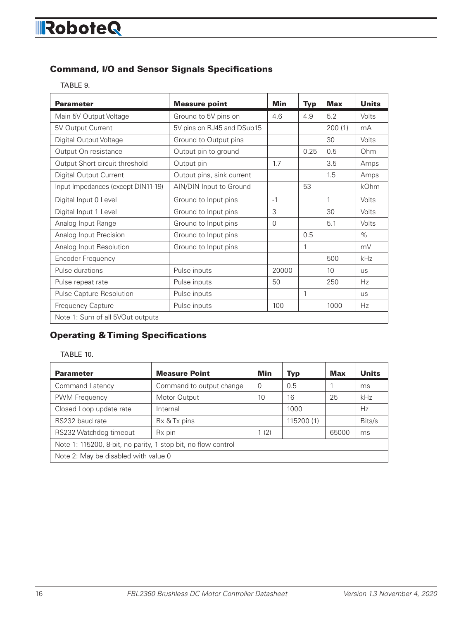#### Command, I/O and Sensor Signals Specifications

TABLE 9.

| <b>Parameter</b>                   | <b>Measure point</b>       | <b>Min</b> | <b>Typ</b> | <b>Max</b> | <b>Units</b> |
|------------------------------------|----------------------------|------------|------------|------------|--------------|
| Main 5V Output Voltage             | Ground to 5V pins on       | 4.6        | 4.9        | 5.2        | Volts        |
| 5V Output Current                  | 5V pins on RJ45 and DSub15 |            |            | 200(1)     | mA           |
| Digital Output Voltage             | Ground to Output pins      |            |            | 30         | Volts        |
| Output On resistance               | Output pin to ground       |            | 0.25       | 0.5        | Ohm          |
| Output Short circuit threshold     | Output pin                 | 1.7        |            | 3.5        | Amps         |
| <b>Digital Output Current</b>      | Output pins, sink current  |            |            | 1.5        | Amps         |
| Input Impedances (except DIN11-19) | AIN/DIN Input to Ground    |            | 53         |            | kOhm         |
| Digital Input 0 Level              | Ground to Input pins       | $-1$       |            | 1          | Volts        |
| Digital Input 1 Level              | Ground to Input pins       | 3          |            | 30         | <b>Volts</b> |
| Analog Input Range                 | Ground to Input pins       | $\Omega$   |            | 5.1        | Volts        |
| Analog Input Precision             | Ground to Input pins       |            | 0.5        |            | $\%$         |
| Analog Input Resolution            | Ground to Input pins       |            | 1          |            | mV           |
| Encoder Frequency                  |                            |            |            | 500        | kHz          |
| Pulse durations                    | Pulse inputs               | 20000      |            | 10         | <b>US</b>    |
| Pulse repeat rate                  | Pulse inputs               | 50         |            | 250        | Hz           |
| Pulse Capture Resolution           | Pulse inputs               |            | 1          |            | <b>US</b>    |
| Frequency Capture                  | Pulse inputs               | 100        |            | 1000       | Hz           |
| Note 1: Sum of all 5VOut outputs   |                            |            |            |            |              |

### Operating & Timing Specifications

#### TABLE 10.

| <b>Parameter</b>                                              | <b>Measure Point</b>     | Min            | Typ        | Max   | <b>Units</b> |  |
|---------------------------------------------------------------|--------------------------|----------------|------------|-------|--------------|--|
| Command Latency                                               | Command to output change | $\overline{0}$ | 0.5        |       | ms           |  |
| <b>PWM Frequency</b>                                          | Motor Output             | 10             | 16         | 25    | kHz          |  |
| Closed Loop update rate                                       | Internal                 |                | 1000       |       | Hz           |  |
| RS232 baud rate                                               | Rx & Tx pins             |                | 115200 (1) |       | Bits/s       |  |
| RS232 Watchdog timeout                                        | R <sub>x</sub> pin       | 1(2)           |            | 65000 | ms           |  |
| Note 1: 115200, 8-bit, no parity, 1 stop bit, no flow control |                          |                |            |       |              |  |
| Note 2: May be disabled with value 0                          |                          |                |            |       |              |  |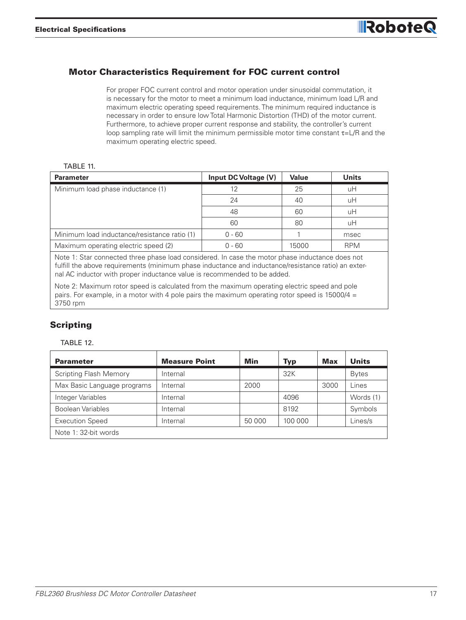#### Motor Characteristics Requirement for FOC current control

For proper FOC current control and motor operation under sinusoidal commutation, it is necessary for the motor to meet a minimum load inductance, minimum load L/R and maximum electric operating speed requirements. The minimum required inductance is necessary in order to ensure low Total Harmonic Distortion (THD) of the motor current. Furthermore, to achieve proper current response and stability, the controller's current loop sampling rate will limit the minimum permissible motor time constant τ=L/R and the maximum operating electric speed.

#### TABLE 11

| <b>Parameter</b>                             | Input DC Voltage (V) | Value | <b>Units</b> |
|----------------------------------------------|----------------------|-------|--------------|
| Minimum load phase inductance (1)            | 12                   | 25    | uН           |
|                                              | 24                   | 40    | uН           |
|                                              | 48                   | 60    | uН           |
|                                              | 60                   | 80    | uH           |
| Minimum load inductance/resistance ratio (1) | $0 - 60$             |       | msec         |
| Maximum operating electric speed (2)         | $0 - 60$             | 15000 | <b>RPM</b>   |

Note 1: Star connected three phase load considered. In case the motor phase inductance does not fulfill the above requirements (minimum phase inductance and inductance/resistance ratio) an external AC inductor with proper inductance value is recommended to be added.

Note 2: Maximum rotor speed is calculated from the maximum operating electric speed and pole pairs. For example, in a motor with 4 pole pairs the maximum operating rotor speed is  $15000/4 =$ 3750 rpm

#### Scripting

#### TABLE 12.

| <b>Parameter</b>              | <b>Measure Point</b> | Min    | <b>Typ</b> | <b>Max</b> | <b>Units</b> |
|-------------------------------|----------------------|--------|------------|------------|--------------|
| <b>Scripting Flash Memory</b> | Internal             |        | 32K        |            | <b>Bytes</b> |
| Max Basic Language programs   | Internal             | 2000   |            | 3000       | Lines        |
| Integer Variables             | Internal             |        | 4096       |            | Words (1)    |
| Boolean Variables             | Internal             |        | 8192       |            | Symbols      |
| <b>Execution Speed</b>        | Internal             | 50 000 | 100 000    |            | Lines/s      |
| Note 1: 32-bit words          |                      |        |            |            |              |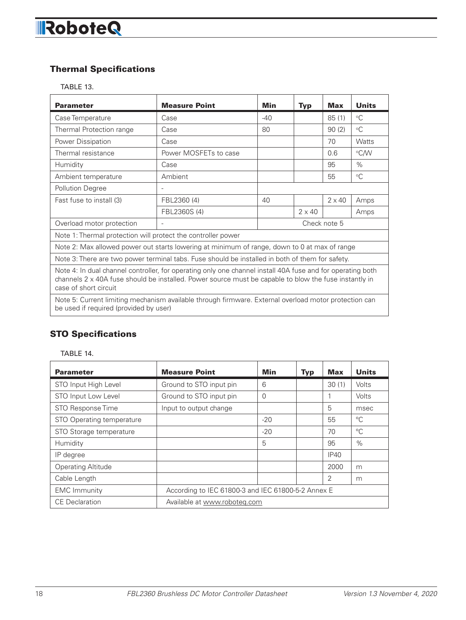### Thermal Specifications

TABLE 13.

| <b>Parameter</b>                                                                                                                                                                                                                             | <b>Measure Point</b>     | Min          | <b>Typ</b>    | <b>Max</b>    | <b>Units</b> |  |
|----------------------------------------------------------------------------------------------------------------------------------------------------------------------------------------------------------------------------------------------|--------------------------|--------------|---------------|---------------|--------------|--|
| Case Temperature                                                                                                                                                                                                                             | Case                     | $-40$        |               | 85(1)         | $\circ$ C    |  |
| Thermal Protection range                                                                                                                                                                                                                     | Case                     | 80           |               | 90(2)         | $^{\circ}C$  |  |
| Power Dissipation                                                                                                                                                                                                                            | Case                     |              |               | 70            | Watts        |  |
| Thermal resistance                                                                                                                                                                                                                           | Power MOSFETs to case    |              |               | 0.6           | °C/W         |  |
| Humidity                                                                                                                                                                                                                                     | Case                     |              |               | 95            | $\%$         |  |
| Ambient temperature                                                                                                                                                                                                                          | Ambient                  |              |               | 55            | $\circ$ C    |  |
| Pollution Degree                                                                                                                                                                                                                             | $\overline{\phantom{a}}$ |              |               |               |              |  |
| Fast fuse to install (3)                                                                                                                                                                                                                     | FBL2360 (4)              | 40           |               | $2 \times 40$ | Amps         |  |
|                                                                                                                                                                                                                                              | FBL2360S (4)             |              | $2 \times 40$ |               | Amps         |  |
| Overload motor protection                                                                                                                                                                                                                    | $\overline{\phantom{a}}$ | Check note 5 |               |               |              |  |
| Note 1: Thermal protection will protect the controller power                                                                                                                                                                                 |                          |              |               |               |              |  |
| Note 2: Max allowed power out starts lowering at minimum of range, down to 0 at max of range                                                                                                                                                 |                          |              |               |               |              |  |
| Note 3: There are two power terminal tabs. Fuse should be installed in both of them for safety.                                                                                                                                              |                          |              |               |               |              |  |
| Note 4: In dual channel controller, for operating only one channel install 40A fuse and for operating both<br>channels 2 x 40A fuse should be installed. Power source must be capable to blow the fuse instantly in<br>case of short circuit |                          |              |               |               |              |  |
| Note 5: Current limiting mechanism available through firmware. External overload motor protection can<br>be used if required (provided by user)                                                                                              |                          |              |               |               |              |  |

### STO Specifications

TABLE 14.

| <b>Parameter</b>          | <b>Measure Point</b>                               | Min   | <b>Typ</b> | <b>Max</b> | <b>Units</b> |
|---------------------------|----------------------------------------------------|-------|------------|------------|--------------|
| STO Input High Level      | Ground to STO input pin                            | 6     |            | 30(1)      | Volts        |
| STO Input Low Level       | Ground to STO input pin                            | 0     |            |            | Volts        |
| STO Response Time         | Input to output change                             |       |            | 5          | msec         |
| STO Operating temperature |                                                    | $-20$ |            | 55         | °C           |
| STO Storage temperature   |                                                    | $-20$ |            | 70         | $^{\circ}C$  |
| Humidity                  |                                                    | 5     |            | 95         | $\%$         |
| IP degree                 |                                                    |       |            | IP40       |              |
| <b>Operating Altitude</b> |                                                    |       |            | 2000       | m            |
| Cable Length              |                                                    |       |            | 2          | m            |
| <b>EMC</b> Immunity       | According to IEC 61800-3 and IEC 61800-5-2 Annex E |       |            |            |              |
| <b>CE</b> Declaration     | Available at www.roboteg.com                       |       |            |            |              |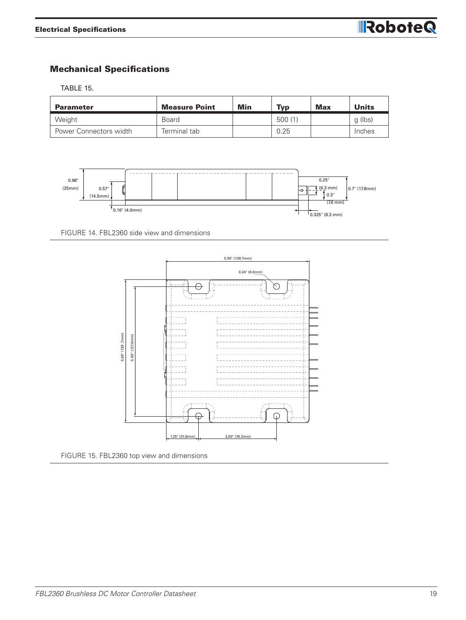#### Mechanical Specifications

TABLE 15.

| <b>Parameter</b>       | <b>Measure Point</b> | Min | <b>Typ</b> | <b>Max</b> | <b>Units</b> |
|------------------------|----------------------|-----|------------|------------|--------------|
| Weight                 | <b>Board</b>         |     | 500(1)     |            | q (lbs)      |
| Power Connectors width | Terminal tab         |     | 0.25       |            | Inches       |



FIGURE 14. FBL2360 side view and dimensions



FIGURE 15. FBL2360 top view and dimensions